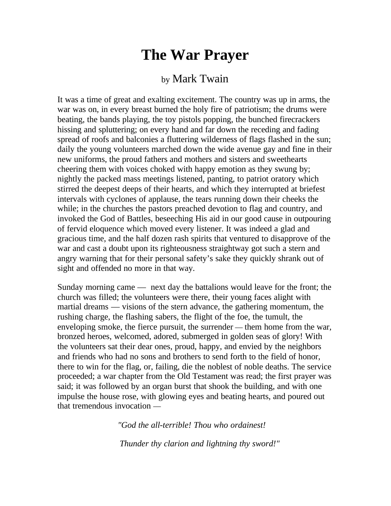## **The War Prayer**

## by Mark Twain

It was a time of great and exalting excitement. The country was up in arms, the war was on, in every breast burned the holy fire of patriotism; the drums were beating, the bands playing, the toy pistols popping, the bunched firecrackers hissing and spluttering; on every hand and far down the receding and fading spread of roofs and balconies a fluttering wilderness of flags flashed in the sun; daily the young volunteers marched down the wide avenue gay and fine in their new uniforms, the proud fathers and mothers and sisters and sweethearts cheering them with voices choked with happy emotion as they swung by; nightly the packed mass meetings listened, panting, to patriot oratory which stirred the deepest deeps of their hearts, and which they interrupted at briefest intervals with cyclones of applause, the tears running down their cheeks the while; in the churches the pastors preached devotion to flag and country, and invoked the God of Battles, beseeching His aid in our good cause in outpouring of fervid eloquence which moved every listener. It was indeed a glad and gracious time, and the half dozen rash spirits that ventured to disapprove of the war and cast a doubt upon its righteousness straightway got such a stern and angry warning that for their personal safety's sake they quickly shrank out of sight and offended no more in that way.

Sunday morning came — next day the battalions would leave for the front; the church was filled; the volunteers were there, their young faces alight with martial dreams — visions of the stern advance, the gathering momentum, the rushing charge, the flashing sabers, the flight of the foe, the tumult, the enveloping smoke, the fierce pursuit, the surrender — them home from the war, bronzed heroes, welcomed, adored, submerged in golden seas of glory! With the volunteers sat their dear ones, proud, happy, and envied by the neighbors and friends who had no sons and brothers to send forth to the field of honor, there to win for the flag, or, failing, die the noblest of noble deaths. The service proceeded; a war chapter from the Old Testament was read; the first prayer was said; it was followed by an organ burst that shook the building, and with one impulse the house rose, with glowing eyes and beating hearts, and poured out that tremendous invocation —

*"God the all-terrible! Thou who ordainest!*

*Thunder thy clarion and lightning thy sword!"*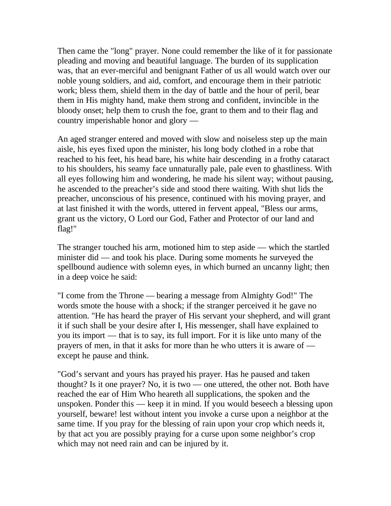Then came the "long" prayer. None could remember the like of it for passionate pleading and moving and beautiful language. The burden of its supplication was, that an ever-merciful and benignant Father of us all would watch over our noble young soldiers, and aid, comfort, and encourage them in their patriotic work; bless them, shield them in the day of battle and the hour of peril, bear them in His mighty hand, make them strong and confident, invincible in the bloody onset; help them to crush the foe, grant to them and to their flag and country imperishable honor and glory —

An aged stranger entered and moved with slow and noiseless step up the main aisle, his eyes fixed upon the minister, his long body clothed in a robe that reached to his feet, his head bare, his white hair descending in a frothy cataract to his shoulders, his seamy face unnaturally pale, pale even to ghastliness. With all eyes following him and wondering, he made his silent way; without pausing, he ascended to the preacher's side and stood there waiting. With shut lids the preacher, unconscious of his presence, continued with his moving prayer, and at last finished it with the words, uttered in fervent appeal, "Bless our arms, grant us the victory, O Lord our God, Father and Protector of our land and flag!"

The stranger touched his arm, motioned him to step aside — which the startled minister did — and took his place. During some moments he surveyed the spellbound audience with solemn eyes, in which burned an uncanny light; then in a deep voice he said:

"I come from the Throne — bearing a message from Almighty God!" The words smote the house with a shock; if the stranger perceived it he gave no attention. "He has heard the prayer of His servant your shepherd, and will grant it if such shall be your desire after I, His messenger, shall have explained to you its import — that is to say, its full import. For it is like unto many of the prayers of men, in that it asks for more than he who utters it is aware of except he pause and think.

"God's servant and yours has prayed his prayer. Has he paused and taken thought? Is it one prayer? No, it is two — one uttered, the other not. Both have reached the ear of Him Who heareth all supplications, the spoken and the unspoken. Ponder this — keep it in mind. If you would beseech a blessing upon yourself, beware! lest without intent you invoke a curse upon a neighbor at the same time. If you pray for the blessing of rain upon your crop which needs it, by that act you are possibly praying for a curse upon some neighbor's crop which may not need rain and can be injured by it.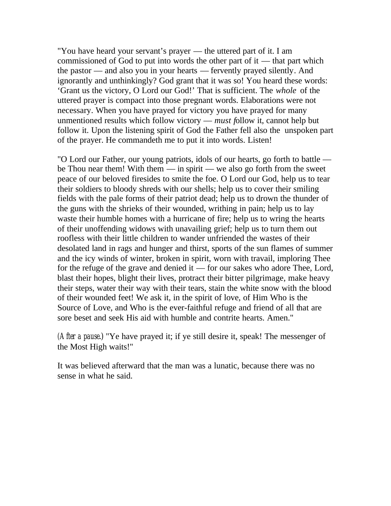"You have heard your servant's prayer — the uttered part of it. I am commissioned of God to put into words the other part of it — that part which the pastor — and also you in your hearts — fervently prayed silently. And ignorantly and unthinkingly? God grant that it was so! You heard these words: 'Grant us the victory, O Lord our God!' That is sufficient. The *whole* of the uttered prayer is compact into those pregnant words. Elaborations were not necessary. When you have prayed for victory you have prayed for many unmentioned results which follow victory — *must f*ollow it, cannot help but follow it. Upon the listening spirit of God the Father fell also the unspoken part of the prayer. He commandeth me to put it into words. Listen!

"O Lord our Father, our young patriots, idols of our hearts, go forth to battle be Thou near them! With them — in spirit — we also go forth from the sweet peace of our beloved firesides to smite the foe. O Lord our God, help us to tear their soldiers to bloody shreds with our shells; help us to cover their smiling fields with the pale forms of their patriot dead; help us to drown the thunder of the guns with the shrieks of their wounded, writhing in pain; help us to lay waste their humble homes with a hurricane of fire; help us to wring the hearts of their unoffending widows with unavailing grief; help us to turn them out roofless with their little children to wander unfriended the wastes of their desolated land in rags and hunger and thirst, sports of the sun flames of summer and the icy winds of winter, broken in spirit, worn with travail, imploring Thee for the refuge of the grave and denied it — for our sakes who adore Thee, Lord, blast their hopes, blight their lives, protract their bitter pilgrimage, make heavy their steps, water their way with their tears, stain the white snow with the blood of their wounded feet! We ask it, in the spirit of love, of Him Who is the Source of Love, and Who is the ever-faithful refuge and friend of all that are sore beset and seek His aid with humble and contrite hearts. Amen."

*(After a pause*.) "Ye have prayed it; if ye still desire it, speak! The messenger of the Most High waits!"

It was believed afterward that the man was a lunatic, because there was no sense in what he said.